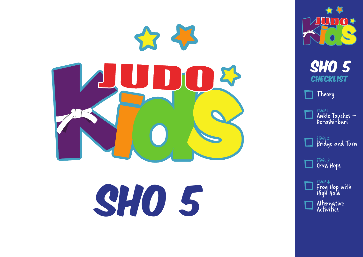

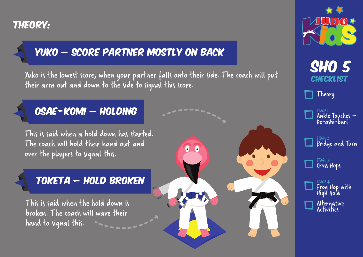#### Theory:

### Yuko – Score Partner mostly on back

Yuko is the lowest score, when your partner falls onto their side. The coach will put their arm out and down to the side to signal this score.

 $\bullet$   $\bullet$ 

#### Osae -Komi – holding

This is said when a hold down has started. The coach will hold their hand out and over the players to signal this.

#### Toketa – hold Broken

This is said when the hold down is broken. The coach will wave their hand to signal this.



**SHO 5 CHECKLIST** 

Theory



STAGE 2: Bridge and Turn

STAGE 3: Cross Hops

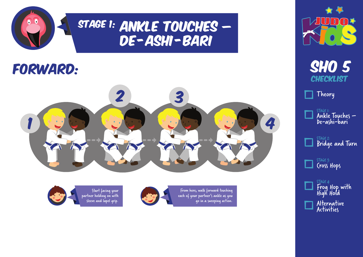

# STAGE 1: ANKLE TOUCHES – DE-ASHI-BARI

# Forward:



From here, walk forward touching each of your partner's ankle as you go in a sweeping action.



Start facing your partner holding on with sleeve and lapel grip.





Theory

| STAGE 1:     |                 |  |
|--------------|-----------------|--|
|              | Ankle Touches - |  |
| De-ashi-bari |                 |  |
|              |                 |  |

STAGE 2: Bridge and Turn

STAGE 3: Cross Hops



Activities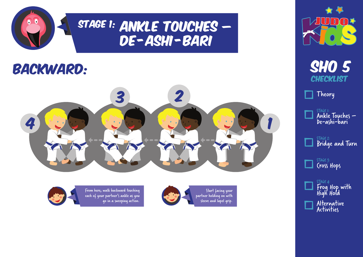

# STAGE 1: ANKLE TOUCHES – DE-ASHI-BARI

### backward:





From here, walk backward touching each of your partner's ankle as you go in a sweeping action.





**SHO 5 CHECKLIST** 

Theory



STAGE 2: Bridge and Turn

STAGE 3: Cross Hops

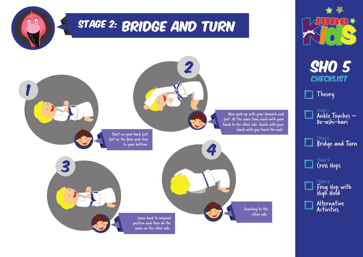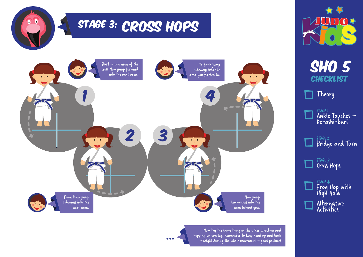

Now try the same thing in the other direction and hopping on one leg. Remember to keep head up and back straight during the whole movement – good posture! Frog Hop with High Hold Alternative Activities

**SHO 5** 

 $\sqrt{ }$ 

**CHECKLIST** 

STAGE 1:

Theory

STAGE 2:

STAGE 3: Cross Hops

STAGE 4:

Ankle Touches – De-ashi-bari

Bridge and Turn